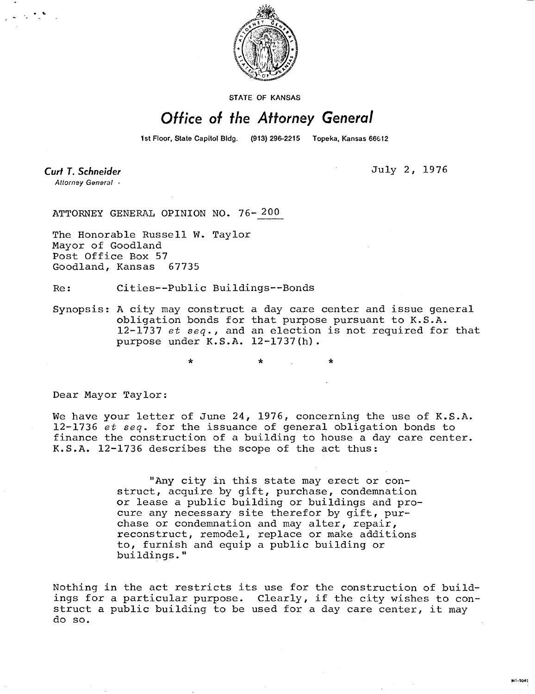

STATE OF KANSAS

## Office of the Attorney General

1st Floor, State Capitol Bldg. (913) 296-2215 Topeka, Kansas 66612

Curt T. Schneider Attorney General + July 2, 1976

M1-1042

ATTORNEY GENERAL OPINION NO. 76- 200

The Honorable Russell W. Taylor Mayor of Goodland Post Office Box 57 Goodland, Kansas 67735

Re: Cities--Public Buildings--Bonds

Synopsis: A city may construct a day care center and issue general obligation bonds for that purpose pursuant to K.S.A. 12-1737 et seq., and an election is not required for that purpose under K.S.A. 12-1737(h).

Dear Mayor Taylor:

We have your letter of June 24, 1976, concerning the use of K.S.A. 12-1736 et seq. for the issuance of general obligation bonds to finance the construction of a building to house a day care center. K.S.A. 12-1736 describes the scope of the act thus:

> "Any city in this state may erect or construct, acquire by gift, purchase, condemnation or lease a public building or buildings and procure any necessary site therefor by gift, purchase or condemnation and may alter, repair, reconstruct, remodel, replace or make additions to, furnish and equip a public building or buildings."

Nothing in the act restricts its use for the construction of buildings for a particular purpose. Clearly, if the city wishes to construct a public building to be used for a day care center, it may do so.